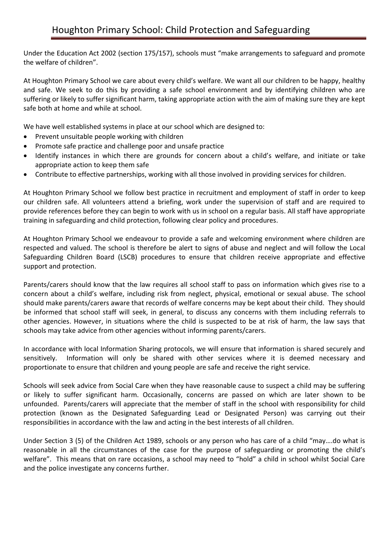Under the Education Act 2002 (section 175/157), schools must "make arrangements to safeguard and promote the welfare of children".

At Houghton Primary School we care about every child's welfare. We want all our children to be happy, healthy and safe. We seek to do this by providing a safe school environment and by identifying children who are suffering or likely to suffer significant harm, taking appropriate action with the aim of making sure they are kept safe both at home and while at school.

We have well established systems in place at our school which are designed to:

- Prevent unsuitable people working with children
- Promote safe practice and challenge poor and unsafe practice
- Identify instances in which there are grounds for concern about a child's welfare, and initiate or take appropriate action to keep them safe
- Contribute to effective partnerships, working with all those involved in providing services for children.

At Houghton Primary School we follow best practice in recruitment and employment of staff in order to keep our children safe. All volunteers attend a briefing, work under the supervision of staff and are required to provide references before they can begin to work with us in school on a regular basis. All staff have appropriate training in safeguarding and child protection, following clear policy and procedures.

At Houghton Primary School we endeavour to provide a safe and welcoming environment where children are respected and valued. The school is therefore be alert to signs of abuse and neglect and will follow the Local Safeguarding Children Board (LSCB) procedures to ensure that children receive appropriate and effective support and protection.

Parents/carers should know that the law requires all school staff to pass on information which gives rise to a concern about a child's welfare, including risk from neglect, physical, emotional or sexual abuse. The school should make parents/carers aware that records of welfare concerns may be kept about their child. They should be informed that school staff will seek, in general, to discuss any concerns with them including referrals to other agencies. However, in situations where the child is suspected to be at risk of harm, the law says that schools may take advice from other agencies without informing parents/carers.

In accordance with local Information Sharing protocols, we will ensure that information is shared securely and sensitively. Information will only be shared with other services where it is deemed necessary and proportionate to ensure that children and young people are safe and receive the right service.

Schools will seek advice from Social Care when they have reasonable cause to suspect a child may be suffering or likely to suffer significant harm. Occasionally, concerns are passed on which are later shown to be unfounded. Parents/carers will appreciate that the member of staff in the school with responsibility for child protection (known as the Designated Safeguarding Lead or Designated Person) was carrying out their responsibilities in accordance with the law and acting in the best interests of all children.

Under Section 3 (5) of the Children Act 1989, schools or any person who has care of a child "may….do what is reasonable in all the circumstances of the case for the purpose of safeguarding or promoting the child's welfare". This means that on rare occasions, a school may need to "hold" a child in school whilst Social Care and the police investigate any concerns further.